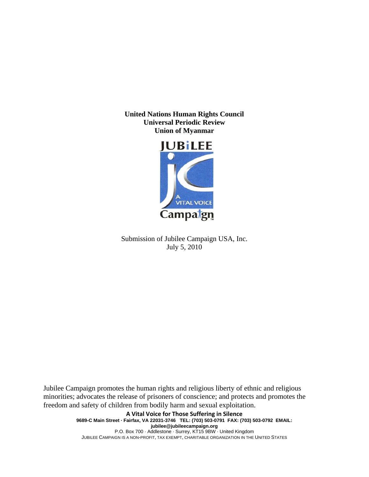**United Nations Human Rights Council Universal Periodic Review Union of Myanmar** 



Submission of Jubilee Campaign USA, Inc. July 5, 2010

Jubilee Campaign promotes the human rights and religious liberty of ethnic and religious minorities; advocates the release of prisoners of conscience; and protects and promotes the freedom and safety of children from bodily harm and sexual exploitation.

> **A Vital Voice for Those Suffering in Silence 9689-C Main Street · Fairfax, VA 22031-3746 TEL: (703) 503-0791 FAX: (703) 503-0792 EMAIL: jubilee@jubileecampaign.org** P.O. Box 700 · Addlestone · Surrey, KT15 9BW · United Kingdom JUBILEE CAMPAIGN IS A NON-PROFIT, TAX EXEMPT, CHARITABLE ORGANIZATION IN THE UNITED STATES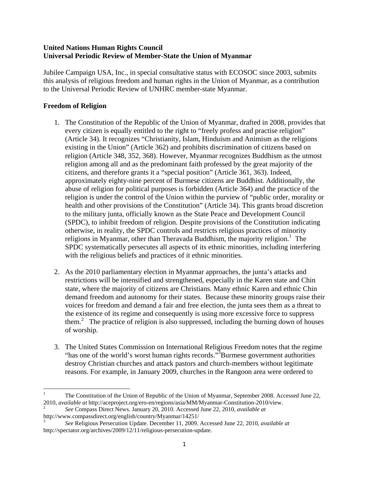## **United Nations Human Rights Council Universal Periodic Review of Member-State the Union of Myanmar**

Jubilee Campaign USA, Inc., in special consultative status with ECOSOC since 2003, submits this analysis of religious freedom and human rights in the Union of Myanmar, as a contribution to the Universal Periodic Review of UNHRC member-state Myanmar.

# **Freedom of Religion**

- 1. The Constitution of the Republic of the Union of Myanmar, drafted in 2008, provides that every citizen is equally entitled to the right to "freely profess and practise religion" (Article 34). It recognizes "Christianity, Islam, Hinduism and Animism as the religions existing in the Union" (Article 362) and prohibits discrimination of citizens based on religion (Article 348, 352, 368). However, Myanmar recognizes Buddhism as the utmost religion among all and as the predominant faith professed by the great majority of the citizens, and therefore grants it a "special position" (Article 361, 363). Indeed, approximately eighty-nine percent of Burmese citizens are Buddhist. Additionally, the abuse of religion for political purposes is forbidden (Article 364) and the practice of the religion is under the control of the Union within the purview of "public order, morality or health and other provisions of the Constitution" (Article 34). This grants broad discretion to the military junta, officially known as the State Peace and Development Council (SPDC), to inhibit freedom of religion. Despite provisions of the Constitution indicating otherwise, in reality, the SPDC controls and restricts religious practices of minority religions in Myanmar, other than Theravada Buddhism, the majority religion.<sup>1</sup> The SPDC systematically persecutes all aspects of its ethnic minorities, including interfering with the religious beliefs and practices of it ethnic minorities.
- 2. As the 2010 parliamentary election in Myanmar approaches, the junta's attacks and restrictions will be intensified and strengthened, especially in the Karen state and Chin state, where the majority of citizens are Christians. Many ethnic Karen and ethnic Chin demand freedom and autonomy for their states. Because these minority groups raise their voices for freedom and demand a fair and free election, the junta sees them as a threat to the existence of its regime and consequently is using more excessive force to suppress them.<sup>2</sup> The practice of religion is also suppressed, including the burning down of houses of worship.
- 3. The United States Commission on International Religious Freedom notes that the regime "has one of the world's worst human rights records."<sup>3</sup>Burmese government authorities destroy Christian churches and attack pastors and church-members without legitimate reasons. For example, in January 2009, churches in the Rangoon area were ordered to

 1 The Constitution of the Union of Republic of the Union of Myanmar, September 2008. Accessed June 22, 2010, *available at* http://aceproject.org/ero-en/regions/asia/MM/Myanmar-Constitution-2010/view. 2

*See* Compass Direct News. January 20, 2010. Accessed June 22, 2010, *available at* http://www.compassdirect.org/english/country/Myanmar/14251/

<sup>3</sup> *See* Religious Persecution Update. December 11, 2009. Accessed June 22, 2010, *available at* http://spectator.org/archives/2009/12/11/religious-persecution-update.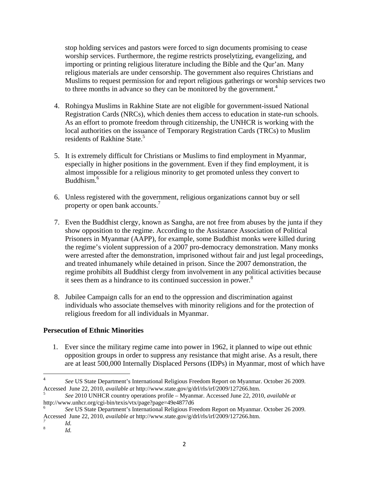stop holding services and pastors were forced to sign documents promising to cease worship services. Furthermore, the regime restricts proselytizing, evangelizing, and importing or printing religious literature including the Bible and the Qur'an. Many religious materials are under censorship. The government also requires Christians and Muslims to request permission for and report religious gatherings or worship services two to three months in advance so they can be monitored by the government.<sup>4</sup>

- 4. Rohingya Muslims in Rakhine State are not eligible for government-issued National Registration Cards (NRCs), which denies them access to education in state-run schools. As an effort to promote freedom through citizenship, the UNHCR is working with the local authorities on the issuance of Temporary Registration Cards (TRCs) to Muslim residents of Rakhine State.<sup>5</sup>
- 5. It is extremely difficult for Christians or Muslims to find employment in Myanmar, especially in higher positions in the government. Even if they find employment, it is almost impossible for a religious minority to get promoted unless they convert to Buddhism.<sup>6</sup>
- 6. Unless registered with the government, religious organizations cannot buy or sell property or open bank accounts.<sup>7</sup>
- 7. Even the Buddhist clergy, known as Sangha, are not free from abuses by the junta if they show opposition to the regime. According to the Assistance Association of Political Prisoners in Myanmar (AAPP), for example, some Buddhist monks were killed during the regime's violent suppression of a 2007 pro-democracy demonstration. Many monks were arrested after the demonstration, imprisoned without fair and just legal proceedings, and treated inhumanely while detained in prison. Since the 2007 demonstration, the regime prohibits all Buddhist clergy from involvement in any political activities because it sees them as a hindrance to its continued succession in power.<sup>8</sup>
- 8. Jubilee Campaign calls for an end to the oppression and discrimination against individuals who associate themselves with minority religions and for the protection of religious freedom for all individuals in Myanmar.

## **Persecution of Ethnic Minorities**

1. Ever since the military regime came into power in 1962, it planned to wipe out ethnic opposition groups in order to suppress any resistance that might arise. As a result, there are at least 500,000 Internally Displaced Persons (IDPs) in Myanmar, most of which have

<sup>4</sup> *See* US State Department's International Religious Freedom Report on Myanmar. October 26 2009. Accessed June 22, 2010, *available at* http://www.state.gov/g/drl/rls/irf/2009/127266.htm. 5

*See* 2010 UNHCR country operations profile – Myanmar. Accessed June 22, 2010, *available at* http://www.unhcr.org/cgi-bin/texis/vtx/page?page=49e4877d6

<sup>6</sup> *See* US State Department's International Religious Freedom Report on Myanmar. October 26 2009. Accessed June 22, 2010, *available at* http://www.state.gov/g/drl/rls/irf/2009/127266.htm. *<sup>7</sup>*

*Id.* 

<sup>8</sup> *Id.*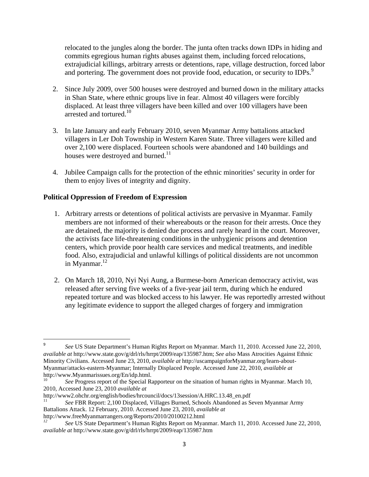relocated to the jungles along the border. The junta often tracks down IDPs in hiding and commits egregious human rights abuses against them, including forced relocations, extrajudicial killings, arbitrary arrests or detentions, rape, village destruction, forced labor and portering. The government does not provide food, education, or security to IDPs.<sup>9</sup>

- 2. Since July 2009, over 500 houses were destroyed and burned down in the military attacks in Shan State, where ethnic groups live in fear. Almost 40 villagers were forcibly displaced. At least three villagers have been killed and over 100 villagers have been arrested and tortured.<sup>10</sup>
- 3. In late January and early February 2010, seven Myanmar Army battalions attacked villagers in Ler Doh Township in Western Karen State. Three villagers were killed and over 2,100 were displaced. Fourteen schools were abandoned and 140 buildings and houses were destroyed and burned.<sup>11</sup>
- 4. Jubilee Campaign calls for the protection of the ethnic minorities' security in order for them to enjoy lives of integrity and dignity.

## **Political Oppression of Freedom of Expression**

- 1. Arbitrary arrests or detentions of political activists are pervasive in Myanmar. Family members are not informed of their whereabouts or the reason for their arrests. Once they are detained, the majority is denied due process and rarely heard in the court. Moreover, the activists face life-threatening conditions in the unhygienic prisons and detention centers, which provide poor health care services and medical treatments, and inedible food. Also, extrajudicial and unlawful killings of political dissidents are not uncommon in Myanmar. $^{12}$
- 2. On March 18, 2010, Nyi Nyi Aung, a Burmese-born American democracy activist, was released after serving five weeks of a five-year jail term, during which he endured repeated torture and was blocked access to his lawyer. He was reportedly arrested without any legitimate evidence to support the alleged charges of forgery and immigration

<sup>9</sup> *See* US State Department's Human Rights Report on Myanmar. March 11, 2010. Accessed June 22, 2010, *available at* http://www.state.gov/g/drl/rls/hrrpt/2009/eap/135987.htm; *See also* Mass Atrocities Against Ethnic Minority Civilians. Accessed June 23, 2010, *available at* http://uscampaignforMyanmar.org/learn-about-Myanmar/attacks-eastern-Myanmar; Internally Displaced People. Accessed June 22, 2010, *available at* http://www.Myanmarissues.org/En/idp.html.

<sup>10</sup> *See* Progress report of the Special Rapporteur on the situation of human rights in Myanmar. March 10, 2010, Accessed June 23, 2010 *available at*

http://www2.ohchr.org/english/bodies/hrcouncil/docs/13session/A.HRC.13.48\_en.pdf 11 *See* FBR Report: 2,100 Displaced, Villages Burned, Schools Abandoned as Seven Myanmar Army Battalions Attack. 12 February, 2010. Accessed June 23, 2010, *available at*

http://www.freeMyanmarrangers.org/Reports/2010/20100212.html

*<sup>12</sup> See* US State Department's Human Rights Report on Myanmar. March 11, 2010. Accessed June 22, 2010, *available at* http://www.state.gov/g/drl/rls/hrrpt/2009/eap/135987.htm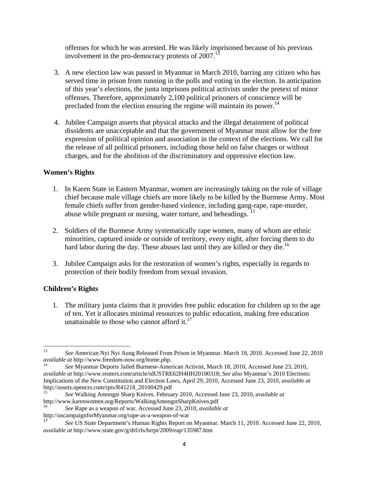offenses for which he was arrested. He was likely imprisoned because of his previous involvement in the pro-democracy protests of  $2007$ .<sup>13</sup>

- 3. A new election law was passed in Myanmar in March 2010, barring any citizen who has served time in prison from running in the polls and voting in the election. In anticipation of this year's elections, the junta imprisons political activists under the pretext of minor offenses. Therefore, approximately 2,100 political prisoners of conscience will be precluded from the election ensuring the regime will maintain its power.<sup>14</sup>
- 4. Jubilee Campaign asserts that physical attacks and the illegal detainment of political dissidents are unacceptable and that the government of Myanmar must allow for the free expression of political opinion and association in the context of the elections. We call for the release of all political prisoners, including those held on false charges or without charges, and for the abolition of the discriminatory and oppressive election law.

#### **Women's Rights**

- 1. In Karen State in Eastern Myanmar, women are increasingly taking on the role of village chief because male village chiefs are more likely to be killed by the Burmese Army. Most female chiefs suffer from gender-based violence, including gang-rape, rape-murder, abuse while pregnant or nursing, water torture, and beheadings. <sup>15</sup>
- 2. Soldiers of the Burmese Army systematically rape women, many of whom are ethnic minorities, captured inside or outside of territory, every night, after forcing them to do hard labor during the day. These abuses last until they are killed or they die.<sup>16</sup>
- 3. Jubilee Campaign asks for the restoration of women's rights, especially in regards to protection of their bodily freedom from sexual invasion.

## **Children's Rights**

1. The military junta claims that it provides free public education for children up to the age of ten. Yet it allocates minimal resources to public education, making free education unattainable to those who cannot afford it. $^{17}$ 

<sup>&</sup>lt;sup>13</sup> *See* American Nyi Nyi Aung Released From Prison in Myanmar. March 18, 2010. Accessed June 22, 2010 *available at* http://www.freedom-now.org/home.php.

*See* Myanmar Deports Jailed Burmese-American Activist, March 18, 2010, Accessed June 23, 2010, *available at* http://www.reuters.com/article/idUSTRE62H4HH20100318; *See also* Myanmar's 2010 Elections: Implications of the New Constitution and Election Laws, April 29, 2010, Accessed June 23, 2010, *available at* http://assets.opencrs.com/rpts/R41218\_20100429.pdf

<sup>15</sup> *See* Walking Amongst Sharp Knives. February 2010, Accessed June 23, 2010, *available at*

See Rape as a weapon of war. Accessed June 23, 2010, *available at* 

http://uscampaignforMyanmar.org/rape-as-a-weapon-of-war

<sup>17</sup> *See* US State Department's Human Rights Report on Myanmar. March 11, 2010. Accessed June 22, 2010, *available at* http://www.state.gov/g/drl/rls/hrrpt/2009/eap/135987.htm